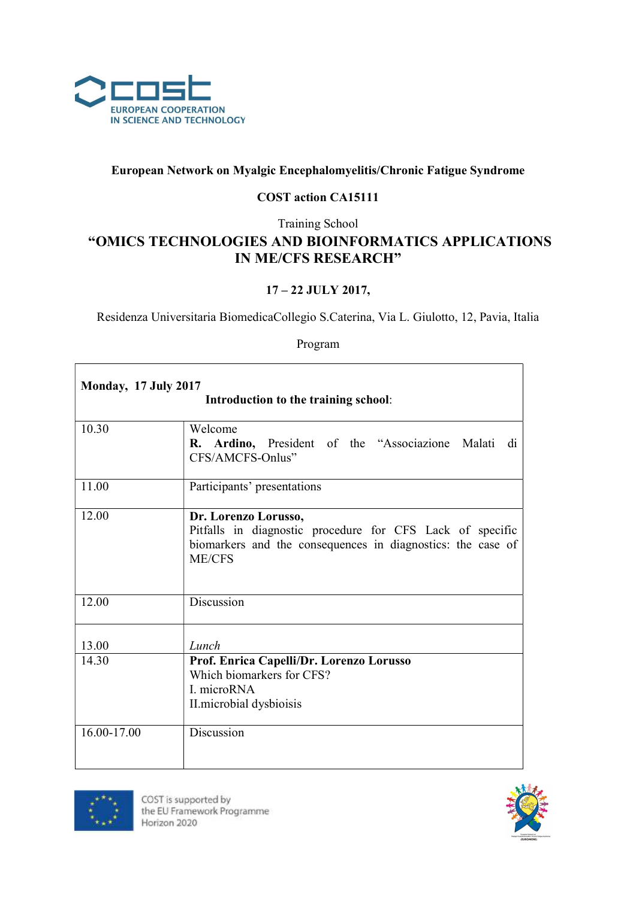

## European Network on Myalgic Encephalomyelitis/Chronic Fatigue Syndrome

## COST action CA15111

Training School

## "OMICS TECHNOLOGIES AND BIOINFORMATICS APPLICATIONS IN ME/CFS RESEARCH"

## 17 – 22 JULY 2017,

Residenza Universitaria BiomedicaCollegio S.Caterina, Via L. Giulotto, 12, Pavia, Italia

Program

| <b>Monday, 17 July 2017</b><br>Introduction to the training school: |                                                                                                                          |  |
|---------------------------------------------------------------------|--------------------------------------------------------------------------------------------------------------------------|--|
| 10.30                                                               | Welcome                                                                                                                  |  |
|                                                                     | R. Ardino, President of the "Associazione Malati di<br>CFS/AMCFS-Onlus"                                                  |  |
| 11.00                                                               | Participants' presentations                                                                                              |  |
| 12.00                                                               | Dr. Lorenzo Lorusso,                                                                                                     |  |
|                                                                     | Pitfalls in diagnostic procedure for CFS Lack of specific<br>biomarkers and the consequences in diagnostics: the case of |  |
|                                                                     | <b>ME/CFS</b>                                                                                                            |  |
|                                                                     |                                                                                                                          |  |
| 12.00                                                               | Discussion                                                                                                               |  |
|                                                                     |                                                                                                                          |  |
| 13.00                                                               | Lunch                                                                                                                    |  |
| 14.30                                                               | Prof. Enrica Capelli/Dr. Lorenzo Lorusso                                                                                 |  |
|                                                                     | Which biomarkers for CFS?                                                                                                |  |
|                                                                     | I. microRNA                                                                                                              |  |
|                                                                     | II.microbial dysbioisis                                                                                                  |  |
| 16.00-17.00                                                         | Discussion                                                                                                               |  |
|                                                                     |                                                                                                                          |  |



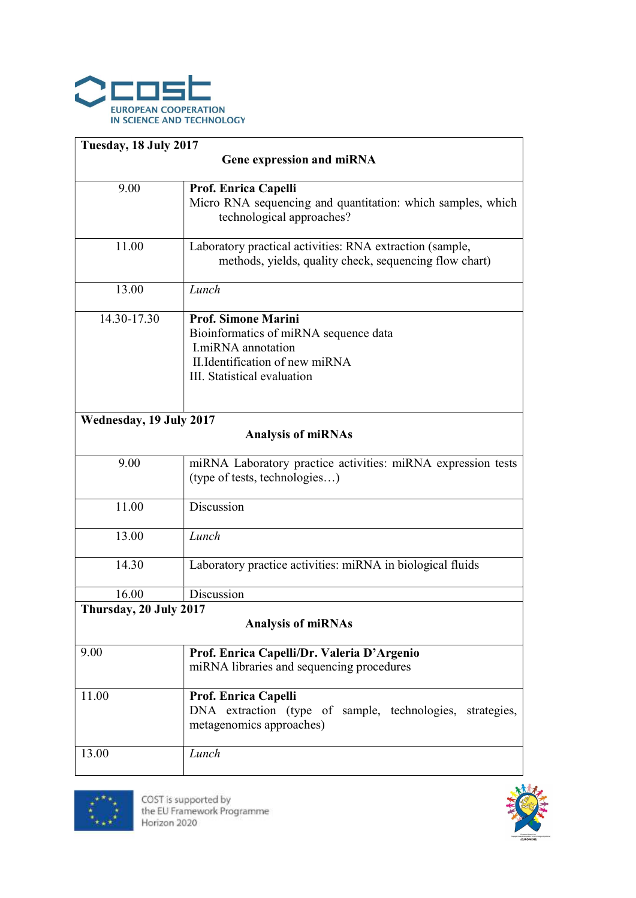

| Tuesday, 18 July 2017                                |                                                                                                                                                                    |  |
|------------------------------------------------------|--------------------------------------------------------------------------------------------------------------------------------------------------------------------|--|
| Gene expression and miRNA                            |                                                                                                                                                                    |  |
| 9.00                                                 | Prof. Enrica Capelli<br>Micro RNA sequencing and quantitation: which samples, which<br>technological approaches?                                                   |  |
| 11.00                                                | Laboratory practical activities: RNA extraction (sample,<br>methods, yields, quality check, sequencing flow chart)                                                 |  |
| 13.00                                                | Lunch                                                                                                                                                              |  |
| 14.30-17.30                                          | <b>Prof. Simone Marini</b><br>Bioinformatics of miRNA sequence data<br><b>I.miRNA</b> annotation<br>II. Identification of new miRNA<br>III. Statistical evaluation |  |
| Wednesday, 19 July 2017<br><b>Analysis of miRNAs</b> |                                                                                                                                                                    |  |
| 9.00                                                 | miRNA Laboratory practice activities: miRNA expression tests<br>(type of tests, technologies)                                                                      |  |
| 11.00                                                | Discussion                                                                                                                                                         |  |
| 13.00                                                | Lunch                                                                                                                                                              |  |
| 14.30                                                | Laboratory practice activities: miRNA in biological fluids                                                                                                         |  |
| 16.00                                                | Discussion                                                                                                                                                         |  |
| Thursday, 20 July 2017<br><b>Analysis of miRNAs</b>  |                                                                                                                                                                    |  |
| 9.00                                                 | Prof. Enrica Capelli/Dr. Valeria D'Argenio<br>miRNA libraries and sequencing procedures                                                                            |  |
| 11.00                                                | Prof. Enrica Capelli<br>DNA extraction (type of sample, technologies, strategies,<br>metagenomics approaches)                                                      |  |
| 13.00                                                | Lunch                                                                                                                                                              |  |